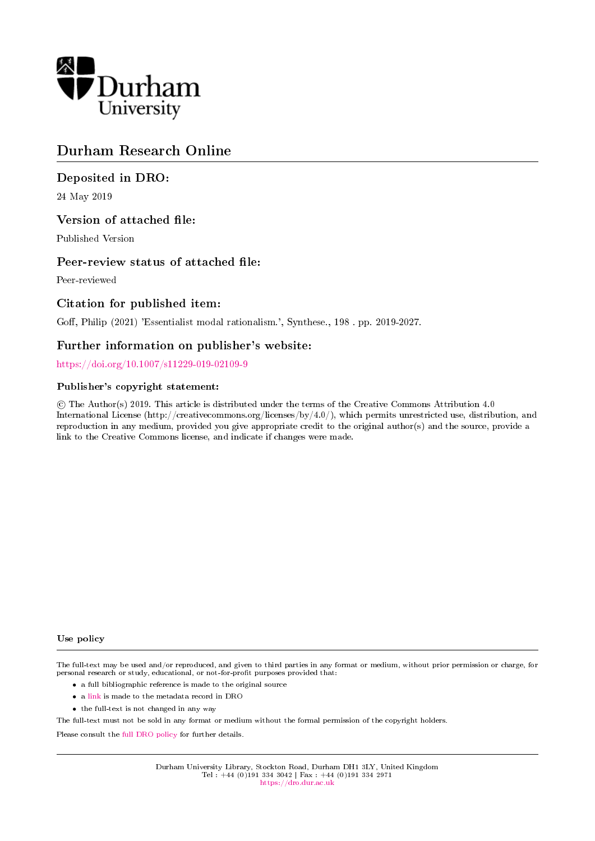

# Durham Research Online

# Deposited in DRO:

24 May 2019

# Version of attached file:

Published Version

# Peer-review status of attached file:

Peer-reviewed

# Citation for published item:

Goff, Philip (2021) 'Essentialist modal rationalism.', Synthese., 198. pp. 2019-2027.

### Further information on publisher's website:

<https://doi.org/10.1007/s11229-019-02109-9>

### Publisher's copyright statement:

 c The Author(s) 2019. This article is distributed under the terms of the Creative Commons Attribution 4.0 International License (http://creativecommons.org/licenses/by/4.0/), which permits unrestricted use, distribution, and reproduction in any medium, provided you give appropriate credit to the original author(s) and the source, provide a link to the Creative Commons license, and indicate if changes were made.

#### Use policy

The full-text may be used and/or reproduced, and given to third parties in any format or medium, without prior permission or charge, for personal research or study, educational, or not-for-profit purposes provided that:

- a full bibliographic reference is made to the original source
- a [link](http://dro.dur.ac.uk/28257/) is made to the metadata record in DRO
- the full-text is not changed in any way

The full-text must not be sold in any format or medium without the formal permission of the copyright holders.

Please consult the [full DRO policy](https://dro.dur.ac.uk/policies/usepolicy.pdf) for further details.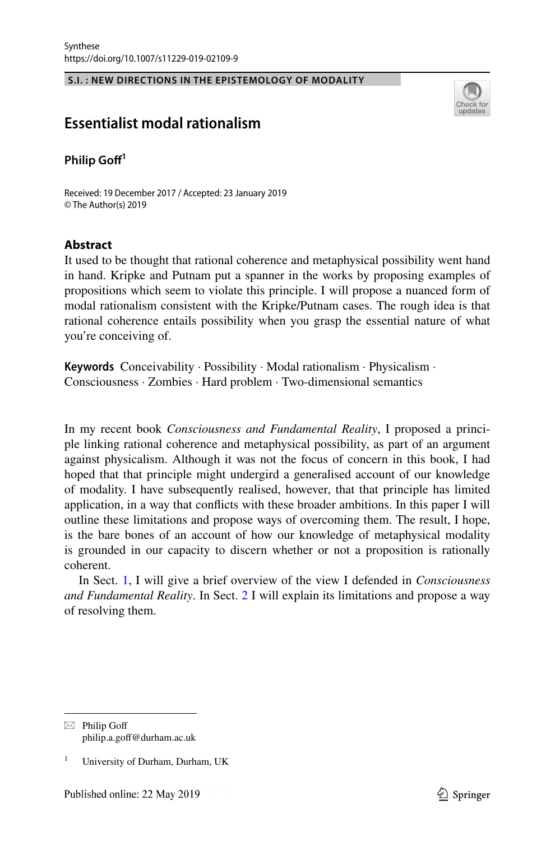#### **S.I. : NEW DIRECTIONS IN THE EPISTEMOLOGY OF MODALITY**



### **Essentialist modal rationalism**

#### **Philip Gof<sup>1</sup>**

Received: 19 December 2017 / Accepted: 23 January 2019 © The Author(s) 2019

#### **Abstract**

It used to be thought that rational coherence and metaphysical possibility went hand in hand. Kripke and Putnam put a spanner in the works by proposing examples of propositions which seem to violate this principle. I will propose a nuanced form of modal rationalism consistent with the Kripke/Putnam cases. The rough idea is that rational coherence entails possibility when you grasp the essential nature of what you're conceiving of.

**Keywords** Conceivability · Possibility · Modal rationalism · Physicalism · Consciousness · Zombies · Hard problem · Two-dimensional semantics

In my recent book *Consciousness and Fundamental Reality*, I proposed a principle linking rational coherence and metaphysical possibility, as part of an argument against physicalism. Although it was not the focus of concern in this book, I had hoped that that principle might undergird a generalised account of our knowledge of modality. I have subsequently realised, however, that that principle has limited application, in a way that conficts with these broader ambitions. In this paper I will outline these limitations and propose ways of overcoming them. The result, I hope, is the bare bones of an account of how our knowledge of metaphysical modality is grounded in our capacity to discern whether or not a proposition is rationally coherent.

In Sect. [1,](#page-2-0) I will give a brief overview of the view I defended in *Consciousness and Fundamental Reality*. In Sect. [2](#page-3-0) I will explain its limitations and propose a way of resolving them.

 $\boxtimes$  Philip Goff philip.a.gof@durham.ac.uk

<sup>1</sup> University of Durham, Durham, UK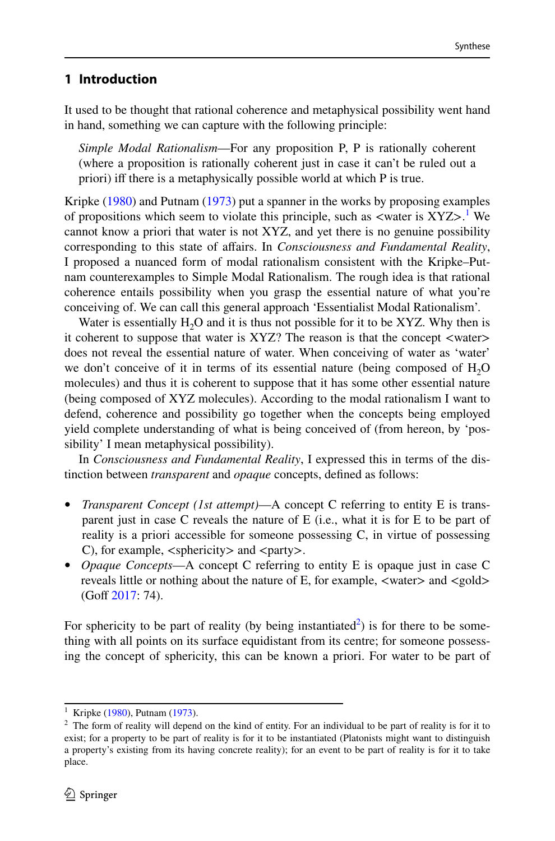### <span id="page-2-0"></span>**1 Introduction**

It used to be thought that rational coherence and metaphysical possibility went hand in hand, something we can capture with the following principle:

*Simple Modal Rationalism*—For any proposition P, P is rationally coherent (where a proposition is rationally coherent just in case it can't be ruled out a priori) if there is a metaphysically possible world at which P is true.

Kripke ([1980\)](#page-9-0) and Putnam ([1973\)](#page-9-1) put a spanner in the works by proposing examples of propositions which seem to violate this principle, such as  $\langle$ water is XYZ $>$ .<sup>[1](#page-2-1)</sup> We cannot know a priori that water is not XYZ, and yet there is no genuine possibility corresponding to this state of afairs. In *Consciousness and Fundamental Reality*, I proposed a nuanced form of modal rationalism consistent with the Kripke–Putnam counterexamples to Simple Modal Rationalism. The rough idea is that rational coherence entails possibility when you grasp the essential nature of what you're conceiving of. We can call this general approach 'Essentialist Modal Rationalism'.

Water is essentially  $H_2O$  and it is thus not possible for it to be XYZ. Why then is it coherent to suppose that water is XYZ? The reason is that the concept <water> does not reveal the essential nature of water. When conceiving of water as 'water' we don't conceive of it in terms of its essential nature (being composed of  $H_2O$ molecules) and thus it is coherent to suppose that it has some other essential nature (being composed of XYZ molecules). According to the modal rationalism I want to defend, coherence and possibility go together when the concepts being employed yield complete understanding of what is being conceived of (from hereon, by 'possibility' I mean metaphysical possibility).

In *Consciousness and Fundamental Reality*, I expressed this in terms of the distinction between *transparent* and *opaque* concepts, defned as follows:

- *Transparent Concept (1st attempt)*—A concept C referring to entity E is transparent just in case C reveals the nature of E (i.e., what it is for E to be part of reality is a priori accessible for someone possessing C, in virtue of possessing C), for example,  $\langle$ sphericity $\rangle$  and  $\langle$ party $\rangle$ .
- *Opaque Concepts*—A concept C referring to entity E is opaque just in case C reveals little or nothing about the nature of E, for example,  $\langle$  water $\rangle$  and  $\langle$  gold $\rangle$  $(Goff 2017: 74)$  $(Goff 2017: 74)$  $(Goff 2017: 74)$ .

For sphericity to be part of reality (by being instantiated<sup>2</sup>) is for there to be something with all points on its surface equidistant from its centre; for someone possessing the concept of sphericity, this can be known a priori. For water to be part of

<span id="page-2-1"></span><sup>&</sup>lt;sup>1</sup> Kripke ([1980\)](#page-9-0), Putnam ([1973\)](#page-9-1).

<span id="page-2-2"></span> $2<sup>2</sup>$  The form of reality will depend on the kind of entity. For an individual to be part of reality is for it to exist; for a property to be part of reality is for it to be instantiated (Platonists might want to distinguish a property's existing from its having concrete reality); for an event to be part of reality is for it to take place.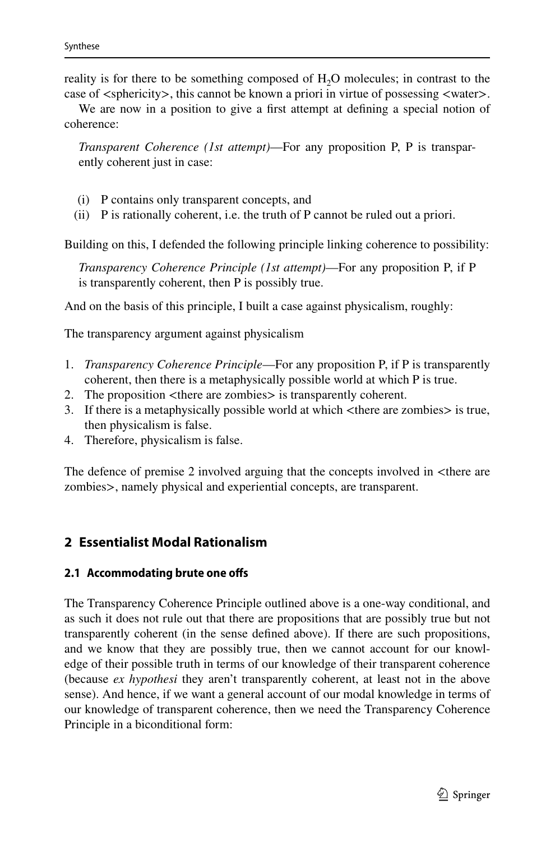reality is for there to be something composed of  $H_2O$  molecules; in contrast to the case of <sphericity>, this cannot be known a priori in virtue of possessing <water>.

We are now in a position to give a frst attempt at defning a special notion of coherence:

*Transparent Coherence (1st attempt)*—For any proposition P, P is transparently coherent just in case:

- (i) P contains only transparent concepts, and
- (ii) P is rationally coherent, i.e. the truth of P cannot be ruled out a priori.

Building on this, I defended the following principle linking coherence to possibility:

*Transparency Coherence Principle (1st attempt)*—For any proposition P, if P is transparently coherent, then P is possibly true.

And on the basis of this principle, I built a case against physicalism, roughly:

The transparency argument against physicalism

- 1. *Transparency Coherence Principle*—For any proposition P, if P is transparently coherent, then there is a metaphysically possible world at which P is true.
- 2. The proposition <there are zombies> is transparently coherent.
- 3. If there is a metaphysically possible world at which <there are zombies> is true, then physicalism is false.
- 4. Therefore, physicalism is false.

The defence of premise 2 involved arguing that the concepts involved in <there are zombies>, namely physical and experiential concepts, are transparent.

### <span id="page-3-0"></span>**2 Essentialist Modal Rationalism**

#### **2.1 Accommodating brute one ofs**

The Transparency Coherence Principle outlined above is a one-way conditional, and as such it does not rule out that there are propositions that are possibly true but not transparently coherent (in the sense defned above). If there are such propositions, and we know that they are possibly true, then we cannot account for our knowledge of their possible truth in terms of our knowledge of their transparent coherence (because *ex hypothesi* they aren't transparently coherent, at least not in the above sense). And hence, if we want a general account of our modal knowledge in terms of our knowledge of transparent coherence, then we need the Transparency Coherence Principle in a biconditional form: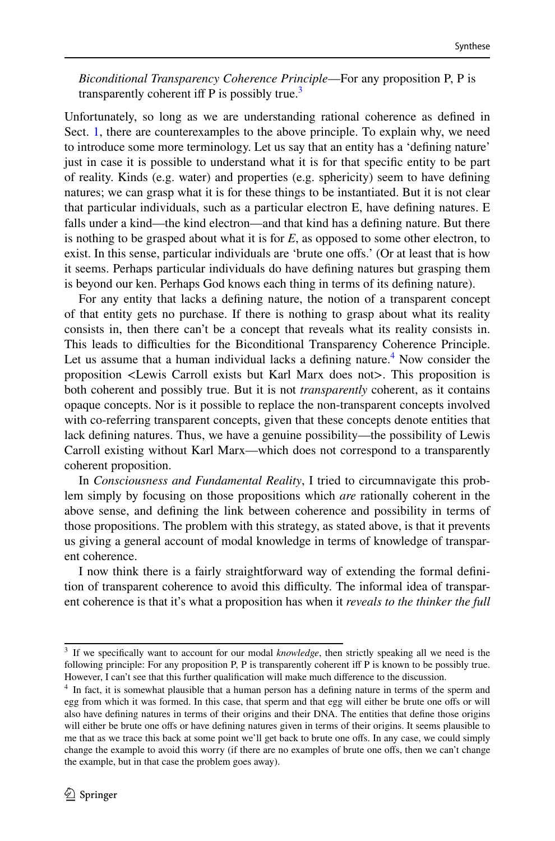*Biconditional Transparency Coherence Principle*—For any proposition P, P is transparently coherent iff P is possibly true.<sup>[3](#page-4-0)</sup>

Unfortunately, so long as we are understanding rational coherence as defned in Sect. [1,](#page-2-0) there are counterexamples to the above principle. To explain why, we need to introduce some more terminology. Let us say that an entity has a 'defning nature' just in case it is possible to understand what it is for that specifc entity to be part of reality. Kinds (e.g. water) and properties (e.g. sphericity) seem to have defning natures; we can grasp what it is for these things to be instantiated. But it is not clear that particular individuals, such as a particular electron E, have defning natures. E falls under a kind—the kind electron—and that kind has a defning nature. But there is nothing to be grasped about what it is for *E*, as opposed to some other electron, to exist. In this sense, particular individuals are 'brute one ofs.' (Or at least that is how it seems. Perhaps particular individuals do have defning natures but grasping them is beyond our ken. Perhaps God knows each thing in terms of its defning nature).

For any entity that lacks a defning nature, the notion of a transparent concept of that entity gets no purchase. If there is nothing to grasp about what its reality consists in, then there can't be a concept that reveals what its reality consists in. This leads to difculties for the Biconditional Transparency Coherence Principle. Let us assume that a human individual lacks a defining nature.<sup>[4](#page-4-1)</sup> Now consider the proposition <Lewis Carroll exists but Karl Marx does not>. This proposition is both coherent and possibly true. But it is not *transparently* coherent, as it contains opaque concepts. Nor is it possible to replace the non-transparent concepts involved with co-referring transparent concepts, given that these concepts denote entities that lack defning natures. Thus, we have a genuine possibility—the possibility of Lewis Carroll existing without Karl Marx—which does not correspond to a transparently coherent proposition.

In *Consciousness and Fundamental Reality*, I tried to circumnavigate this problem simply by focusing on those propositions which *are* rationally coherent in the above sense, and defning the link between coherence and possibility in terms of those propositions. The problem with this strategy, as stated above, is that it prevents us giving a general account of modal knowledge in terms of knowledge of transparent coherence.

I now think there is a fairly straightforward way of extending the formal defnition of transparent coherence to avoid this difficulty. The informal idea of transparent coherence is that it's what a proposition has when it *reveals to the thinker the full* 

<span id="page-4-0"></span><sup>3</sup> If we specifcally want to account for our modal *knowledge*, then strictly speaking all we need is the following principle: For any proposition P, P is transparently coherent iff P is known to be possibly true. However, I can't see that this further qualification will make much difference to the discussion.

<span id="page-4-1"></span><sup>&</sup>lt;sup>4</sup> In fact, it is somewhat plausible that a human person has a defining nature in terms of the sperm and egg from which it was formed. In this case, that sperm and that egg will either be brute one ofs or will also have defning natures in terms of their origins and their DNA. The entities that defne those origins will either be brute one offs or have defining natures given in terms of their origins. It seems plausible to me that as we trace this back at some point we'll get back to brute one ofs. In any case, we could simply change the example to avoid this worry (if there are no examples of brute one offs, then we can't change the example, but in that case the problem goes away).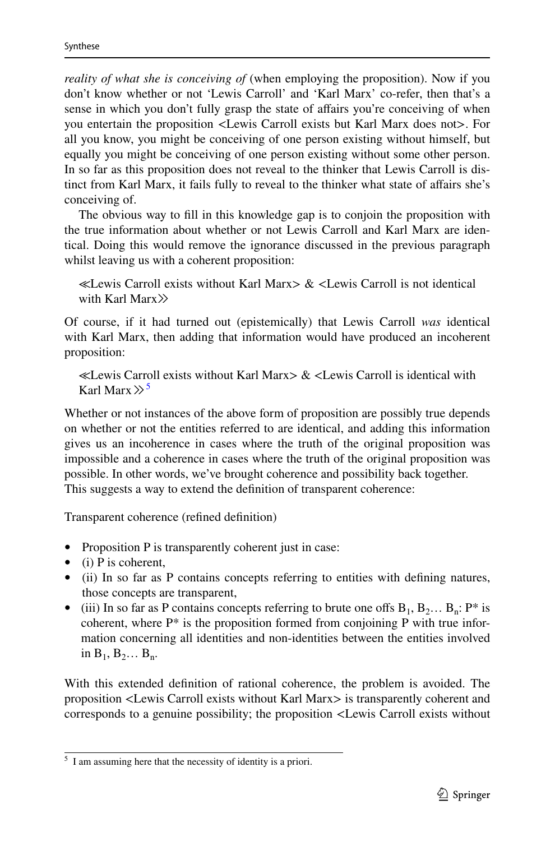*reality of what she is conceiving of* (when employing the proposition). Now if you don't know whether or not 'Lewis Carroll' and 'Karl Marx' co-refer, then that's a sense in which you don't fully grasp the state of affairs you're conceiving of when you entertain the proposition <Lewis Carroll exists but Karl Marx does not>. For all you know, you might be conceiving of one person existing without himself, but equally you might be conceiving of one person existing without some other person. In so far as this proposition does not reveal to the thinker that Lewis Carroll is distinct from Karl Marx, it fails fully to reveal to the thinker what state of afairs she's conceiving of.

The obvious way to fll in this knowledge gap is to conjoin the proposition with the true information about whether or not Lewis Carroll and Karl Marx are identical. Doing this would remove the ignorance discussed in the previous paragraph whilst leaving us with a coherent proposition:

≪Lewis Carroll exists without Karl Marx> & <Lewis Carroll is not identical with Karl Marx<sup>>></sup>

Of course, if it had turned out (epistemically) that Lewis Carroll *was* identical with Karl Marx, then adding that information would have produced an incoherent proposition:

≪Lewis Carroll exists without Karl Marx> & <Lewis Carroll is identical with Karl Marx  $\gg$ <sup>[5](#page-5-0)</sup>

Whether or not instances of the above form of proposition are possibly true depends on whether or not the entities referred to are identical, and adding this information gives us an incoherence in cases where the truth of the original proposition was impossible and a coherence in cases where the truth of the original proposition was possible. In other words, we've brought coherence and possibility back together. This suggests a way to extend the defnition of transparent coherence:

Transparent coherence (refned defnition)

- Proposition P is transparently coherent just in case:
- (i) P is coherent,
- (ii) In so far as P contains concepts referring to entities with defining natures, those concepts are transparent,
- (iii) In so far as P contains concepts referring to brute one offs  $B_1, B_2, \ldots B_n$ : P<sup>\*</sup> is coherent, where  $P^*$  is the proposition formed from conjoining P with true information concerning all identities and non-identities between the entities involved in  $B_1, B_2... B_n$ .

With this extended defnition of rational coherence, the problem is avoided. The proposition <Lewis Carroll exists without Karl Marx> is transparently coherent and corresponds to a genuine possibility; the proposition <Lewis Carroll exists without

<span id="page-5-0"></span><sup>5</sup> I am assuming here that the necessity of identity is a priori.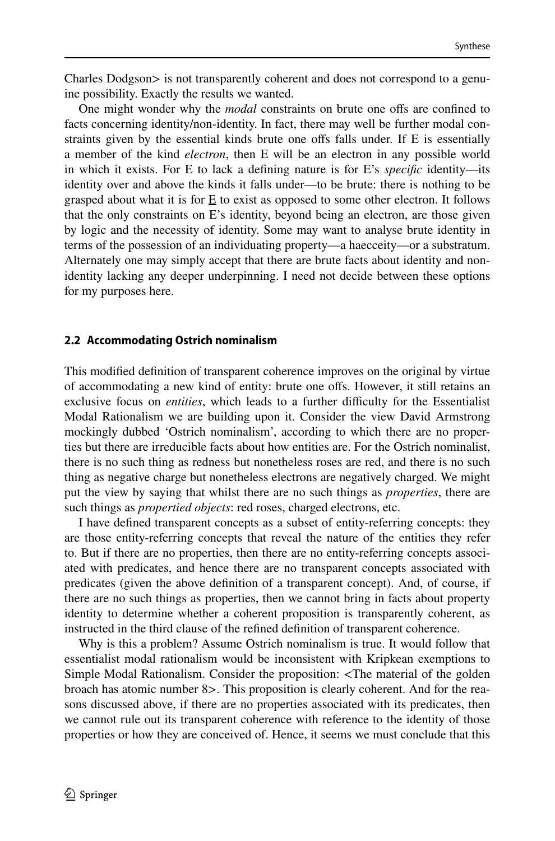Charles Dodgson> is not transparently coherent and does not correspond to a genuine possibility. Exactly the results we wanted.

One might wonder why the *modal* constraints on brute one ofs are confned to facts concerning identity/non-identity. In fact, there may well be further modal constraints given by the essential kinds brute one ofs falls under. If E is essentially a member of the kind *electron*, then E will be an electron in any possible world in which it exists. For E to lack a defning nature is for E's *specifc* identity—its identity over and above the kinds it falls under—to be brute: there is nothing to be grasped about what it is for  $E$  to exist as opposed to some other electron. It follows that the only constraints on E's identity, beyond being an electron, are those given by logic and the necessity of identity. Some may want to analyse brute identity in terms of the possession of an individuating property—a haecceity—or a substratum. Alternately one may simply accept that there are brute facts about identity and nonidentity lacking any deeper underpinning. I need not decide between these options for my purposes here.

#### **2.2 Accommodating Ostrich nominalism**

This modifed defnition of transparent coherence improves on the original by virtue of accommodating a new kind of entity: brute one ofs. However, it still retains an exclusive focus on *entities*, which leads to a further difficulty for the Essentialist Modal Rationalism we are building upon it. Consider the view David Armstrong mockingly dubbed 'Ostrich nominalism', according to which there are no properties but there are irreducible facts about how entities are. For the Ostrich nominalist, there is no such thing as redness but nonetheless roses are red, and there is no such thing as negative charge but nonetheless electrons are negatively charged. We might put the view by saying that whilst there are no such things as *properties*, there are such things as *propertied objects*: red roses, charged electrons, etc.

I have defned transparent concepts as a subset of entity-referring concepts: they are those entity-referring concepts that reveal the nature of the entities they refer to. But if there are no properties, then there are no entity-referring concepts associated with predicates, and hence there are no transparent concepts associated with predicates (given the above defnition of a transparent concept). And, of course, if there are no such things as properties, then we cannot bring in facts about property identity to determine whether a coherent proposition is transparently coherent, as instructed in the third clause of the refned defnition of transparent coherence.

Why is this a problem? Assume Ostrich nominalism is true. It would follow that essentialist modal rationalism would be inconsistent with Kripkean exemptions to Simple Modal Rationalism. Consider the proposition: <The material of the golden broach has atomic number 8>. This proposition is clearly coherent. And for the reasons discussed above, if there are no properties associated with its predicates, then we cannot rule out its transparent coherence with reference to the identity of those properties or how they are conceived of. Hence, it seems we must conclude that this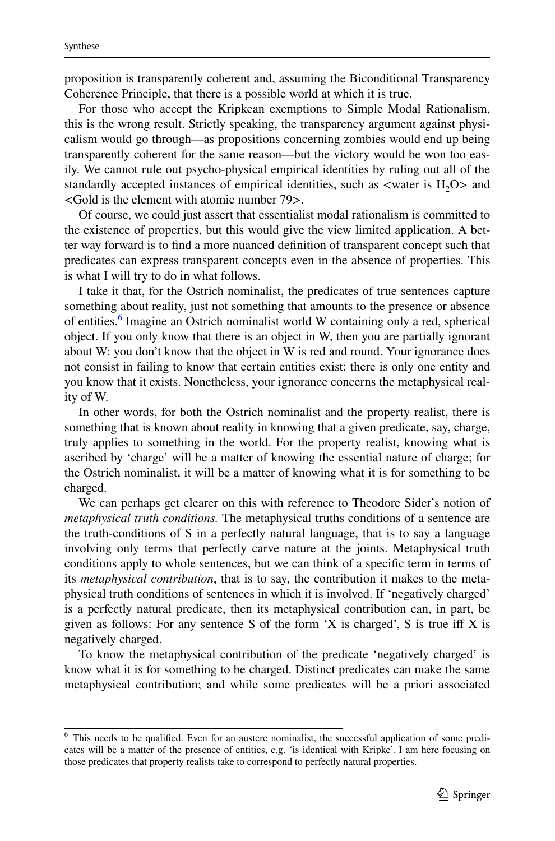proposition is transparently coherent and, assuming the Biconditional Transparency Coherence Principle, that there is a possible world at which it is true.

For those who accept the Kripkean exemptions to Simple Modal Rationalism, this is the wrong result. Strictly speaking, the transparency argument against physicalism would go through—as propositions concerning zombies would end up being transparently coherent for the same reason—but the victory would be won too easily. We cannot rule out psycho-physical empirical identities by ruling out all of the standardly accepted instances of empirical identities, such as  $\langle$ water is H<sub>2</sub>O $>$  and <Gold is the element with atomic number 79>.

Of course, we could just assert that essentialist modal rationalism is committed to the existence of properties, but this would give the view limited application. A better way forward is to fnd a more nuanced defnition of transparent concept such that predicates can express transparent concepts even in the absence of properties. This is what I will try to do in what follows.

I take it that, for the Ostrich nominalist, the predicates of true sentences capture something about reality, just not something that amounts to the presence or absence of entities.<sup>6</sup> Imagine an Ostrich nominalist world W containing only a red, spherical object. If you only know that there is an object in W, then you are partially ignorant about W: you don't know that the object in W is red and round. Your ignorance does not consist in failing to know that certain entities exist: there is only one entity and you know that it exists. Nonetheless, your ignorance concerns the metaphysical reality of W.

In other words, for both the Ostrich nominalist and the property realist, there is something that is known about reality in knowing that a given predicate, say, charge, truly applies to something in the world. For the property realist, knowing what is ascribed by 'charge' will be a matter of knowing the essential nature of charge; for the Ostrich nominalist, it will be a matter of knowing what it is for something to be charged.

We can perhaps get clearer on this with reference to Theodore Sider's notion of *metaphysical truth conditions.* The metaphysical truths conditions of a sentence are the truth-conditions of S in a perfectly natural language, that is to say a language involving only terms that perfectly carve nature at the joints. Metaphysical truth conditions apply to whole sentences, but we can think of a specifc term in terms of its *metaphysical contribution*, that is to say, the contribution it makes to the metaphysical truth conditions of sentences in which it is involved. If 'negatively charged' is a perfectly natural predicate, then its metaphysical contribution can, in part, be given as follows: For any sentence S of the form 'X is charged', S is true iff X is negatively charged.

To know the metaphysical contribution of the predicate 'negatively charged' is know what it is for something to be charged. Distinct predicates can make the same metaphysical contribution; and while some predicates will be a priori associated

<span id="page-7-0"></span><sup>6</sup> This needs to be qualifed. Even for an austere nominalist, the successful application of some predicates will be a matter of the presence of entities, e.g. 'is identical with Kripke'. I am here focusing on those predicates that property realists take to correspond to perfectly natural properties.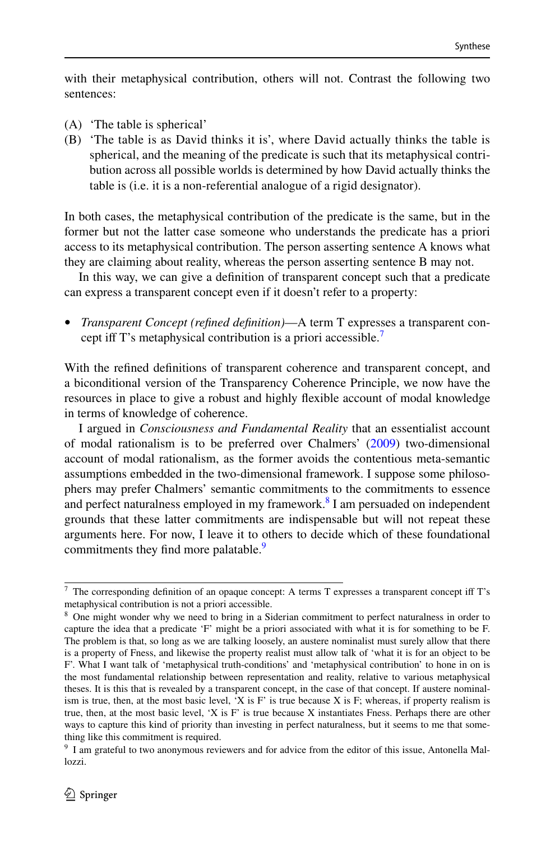with their metaphysical contribution, others will not. Contrast the following two sentences:

- (A) 'The table is spherical'
- (B) 'The table is as David thinks it is', where David actually thinks the table is spherical, and the meaning of the predicate is such that its metaphysical contribution across all possible worlds is determined by how David actually thinks the table is (i.e. it is a non-referential analogue of a rigid designator).

In both cases, the metaphysical contribution of the predicate is the same, but in the former but not the latter case someone who understands the predicate has a priori access to its metaphysical contribution. The person asserting sentence A knows what they are claiming about reality, whereas the person asserting sentence B may not.

In this way, we can give a defnition of transparent concept such that a predicate can express a transparent concept even if it doesn't refer to a property:

• *Transparent Concept (refned defnition)*—A term T expresses a transparent con-cept iff T's metaphysical contribution is a priori accessible.<sup>[7](#page-8-0)</sup>

With the refned defnitions of transparent coherence and transparent concept, and a biconditional version of the Transparency Coherence Principle, we now have the resources in place to give a robust and highly fexible account of modal knowledge in terms of knowledge of coherence.

I argued in *Consciousness and Fundamental Reality* that an essentialist account of modal rationalism is to be preferred over Chalmers' [\(2009](#page-9-3)) two-dimensional account of modal rationalism, as the former avoids the contentious meta-semantic assumptions embedded in the two-dimensional framework. I suppose some philosophers may prefer Chalmers' semantic commitments to the commitments to essence and perfect naturalness employed in my framework.<sup>[8](#page-8-1)</sup> I am persuaded on independent grounds that these latter commitments are indispensable but will not repeat these arguments here. For now, I leave it to others to decide which of these foundational commitments they find more palatable.<sup>9</sup>

<span id="page-8-0"></span><sup>7</sup> The corresponding defnition of an opaque concept: A terms T expresses a transparent concept if T's metaphysical contribution is not a priori accessible.

<span id="page-8-1"></span><sup>&</sup>lt;sup>8</sup> One might wonder why we need to bring in a Siderian commitment to perfect naturalness in order to capture the idea that a predicate 'F' might be a priori associated with what it is for something to be F. The problem is that, so long as we are talking loosely, an austere nominalist must surely allow that there is a property of Fness, and likewise the property realist must allow talk of 'what it is for an object to be F'. What I want talk of 'metaphysical truth-conditions' and 'metaphysical contribution' to hone in on is the most fundamental relationship between representation and reality, relative to various metaphysical theses. It is this that is revealed by a transparent concept, in the case of that concept. If austere nominalism is true, then, at the most basic level, 'X is F' is true because  $X$  is F; whereas, if property realism is true, then, at the most basic level, 'X is F' is true because X instantiates Fness. Perhaps there are other ways to capture this kind of priority than investing in perfect naturalness, but it seems to me that something like this commitment is required.

<span id="page-8-2"></span><sup>9</sup> I am grateful to two anonymous reviewers and for advice from the editor of this issue, Antonella Mallozzi.